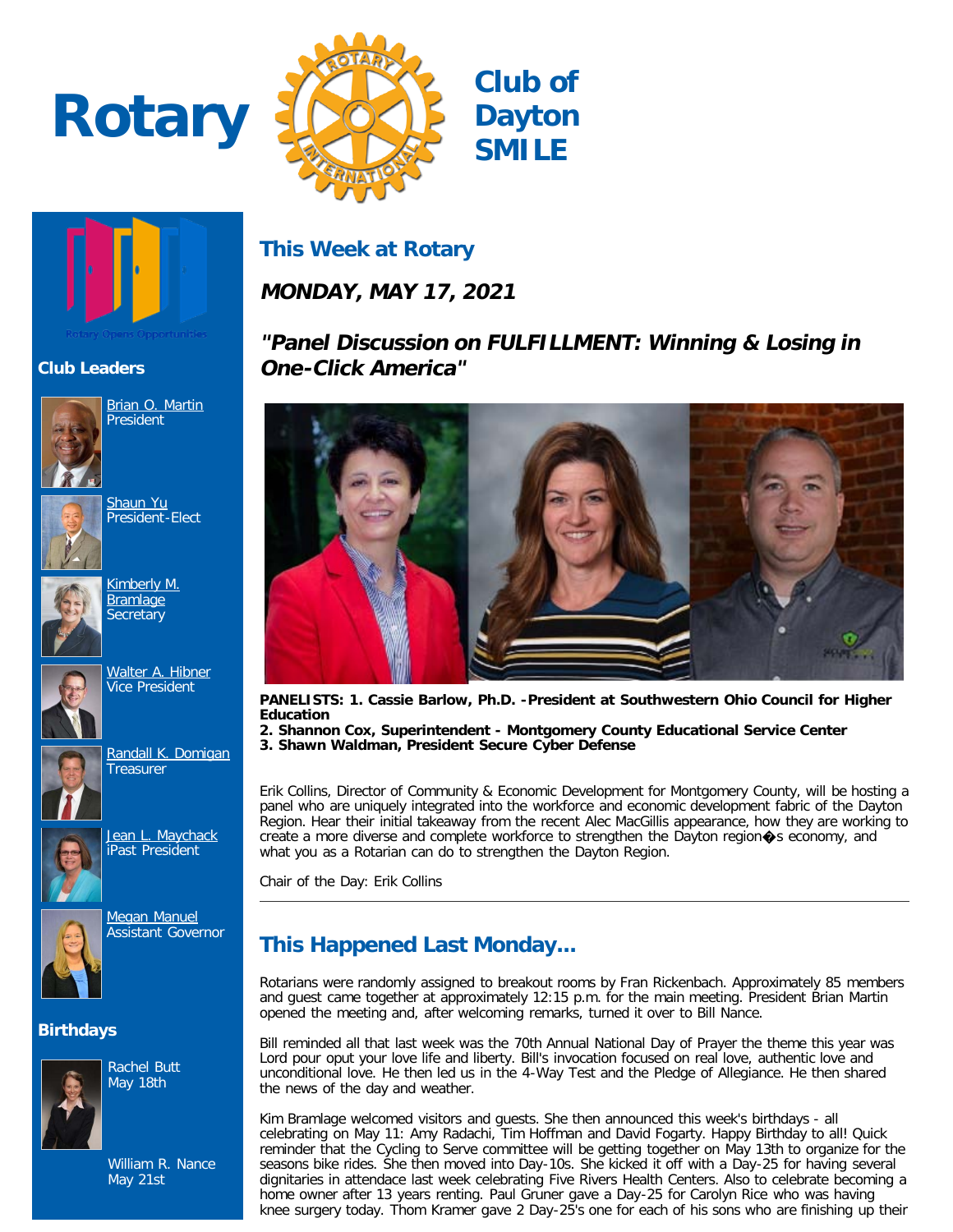



### **Club Leaders**



[Brian O. Martin](https://www.ismyrotaryclub.org/EMailer.cfm?ID=800363590) **President** 



President-Elect



[Kimberly M.](https://www.ismyrotaryclub.org/EMailer.cfm?ID=800408947) **[Bramlage](https://www.ismyrotaryclub.org/EMailer.cfm?ID=800408947) Secretary** 



[Walter A. Hibner](https://www.ismyrotaryclub.org/EMailer.cfm?ID=800252866) Vice President



[Randall K. Domigan](https://www.ismyrotaryclub.org/EMailer.cfm?ID=800444426) **Treasurer** 



[Jean L. Maychack](https://www.ismyrotaryclub.org/EMailer.cfm?ID=800253400) iPast President



[Megan Manuel](https://www.ismyrotaryclub.org/EMailer.cfm?ID=800253360) Assistant Governor

### **Birthdays**



Rachel Butt May 18th

William R. Nance May 21st

# **This Week at Rotary**

**MONDAY, MAY 17, 2021**

**"Panel Discussion on FULFILLMENT: Winning & Losing in One-Click America"**



**PANELISTS: 1. Cassie Barlow, Ph.D. -President at Southwestern Ohio Council for Higher Education**

**2. Shannon Cox, Superintendent - Montgomery County Educational Service Center 3. Shawn Waldman, President Secure Cyber Defense**

Erik Collins, Director of Community & Economic Development for Montgomery County, will be hosting a panel who are uniquely integrated into the workforce and economic development fabric of the Dayton Region. Hear their initial takeaway from the recent Alec MacGillis appearance, how they are working to create a more diverse and complete workforce to strengthen the Dayton region  $\otimes$  economy, and what you as a Rotarian can do to strengthen the Dayton Region.

Chair of the Day: Erik Collins

# **This Happened Last Monday...**

Rotarians were randomly assigned to breakout rooms by Fran Rickenbach. Approximately 85 members and guest came together at approximately 12:15 p.m. for the main meeting. President Brian Martin opened the meeting and, after welcoming remarks, turned it over to Bill Nance.

Bill reminded all that last week was the 70th Annual National Day of Prayer the theme this year was Lord pour oput your love life and liberty. Bill's invocation focused on real love, authentic love and unconditional love. He then led us in the 4-Way Test and the Pledge of Allegiance. He then shared the news of the day and weather.

Kim Bramlage welcomed visitors and guests. She then announced this week's birthdays - all celebrating on May 11: Amy Radachi, Tim Hoffman and David Fogarty. Happy Birthday to all! Quick reminder that the Cycling to Serve committee will be getting together on May 13th to organize for the seasons bike rides. She then moved into Day-10s. She kicked it off with a Day-25 for having several dignitaries in attendace last week celebrating Five Rivers Health Centers. Also to celebrate becoming a home owner after 13 years renting. Paul Gruner gave a Day-25 for Carolyn Rice who was having knee surgery today. Thom Kramer gave 2 Day-25's one for each of his sons who are finishing up their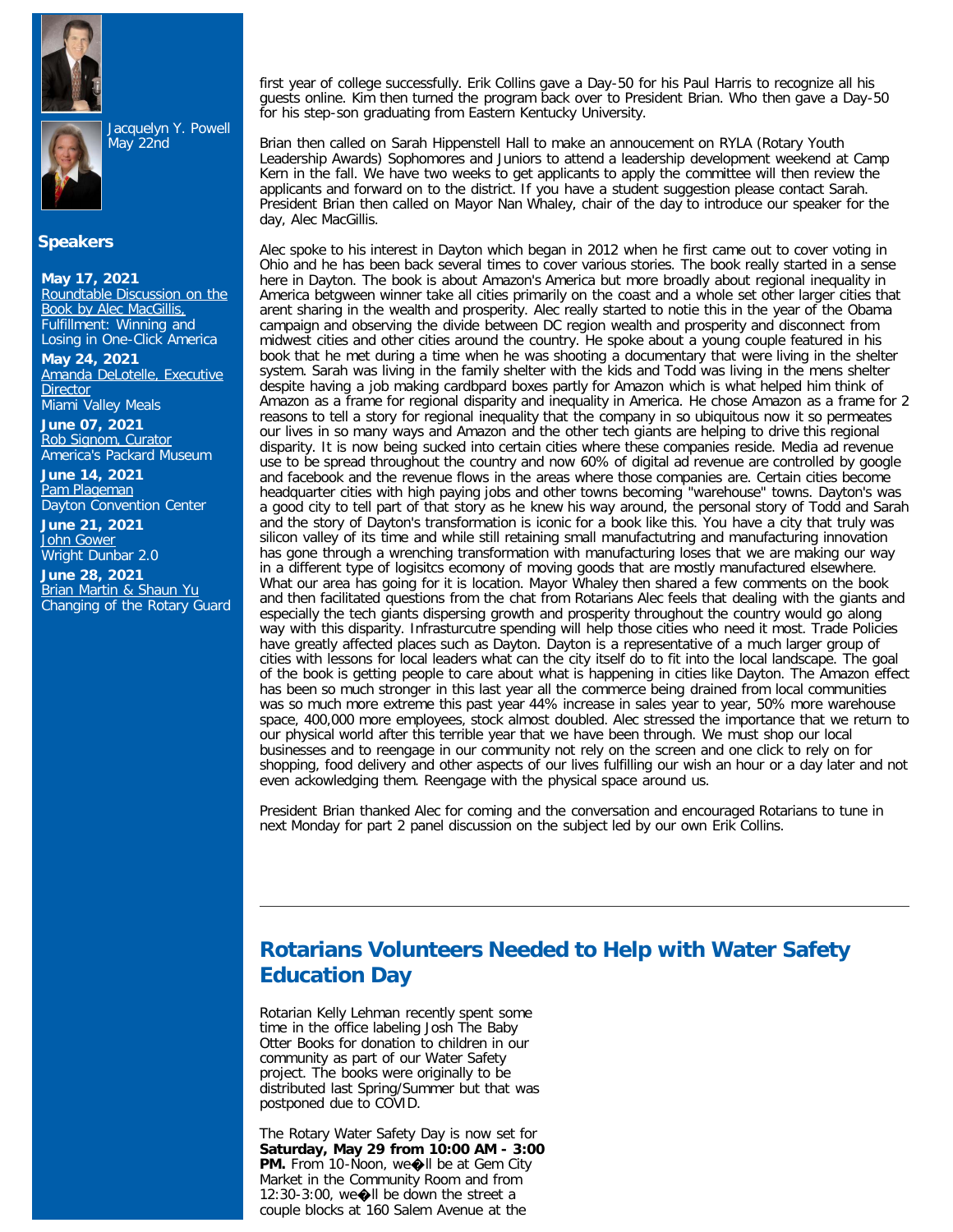

Jacquelyn Y. Powell May 22nd

**Speakers**

#### **May 17, 2021** [Roundtable Discussion on the](https://ismyrotaryclub.com/wp_api_prod_1-1/R_Event.cfm?fixTables=0&fixImages=0&EventID=77529207) [Book by Alec MacGillis,](https://ismyrotaryclub.com/wp_api_prod_1-1/R_Event.cfm?fixTables=0&fixImages=0&EventID=77529207) Fulfillment: Winning and Losing in One-Click America

**May 24, 2021** [Amanda DeLotelle, Executive](https://ismyrotaryclub.com/wp_api_prod_1-1/R_Event.cfm?fixTables=0&fixImages=0&EventID=77522111) **[Director](https://ismyrotaryclub.com/wp_api_prod_1-1/R_Event.cfm?fixTables=0&fixImages=0&EventID=77522111)** Miami Valley Meals

**June 07, 2021** [Rob Signom, Curator](https://ismyrotaryclub.com/wp_api_prod_1-1/R_Event.cfm?fixTables=0&fixImages=0&EventID=77529208) America's Packard Museum

**June 14, 2021** [Pam Plageman](https://ismyrotaryclub.com/wp_api_prod_1-1/R_Event.cfm?fixTables=0&fixImages=0&EventID=77529209) Dayton Convention Center

**June 21, 2021** [John Gower](https://ismyrotaryclub.com/wp_api_prod_1-1/R_Event.cfm?fixTables=0&fixImages=0&EventID=77529210) Wright Dunbar 2.0

**June 28, 2021** [Brian Martin & Shaun Yu](https://ismyrotaryclub.com/wp_api_prod_1-1/R_Event.cfm?fixTables=0&fixImages=0&EventID=77529211) Changing of the Rotary Guard first year of college successfully. Erik Collins gave a Day-50 for his Paul Harris to recognize all his guests online. Kim then turned the program back over to President Brian. Who then gave a Day-50 for his step-son graduating from Eastern Kentucky University.

Brian then called on Sarah Hippenstell Hall to make an annoucement on RYLA (Rotary Youth Leadership Awards) Sophomores and Juniors to attend a leadership development weekend at Camp Kern in the fall. We have two weeks to get applicants to apply the committee will then review the applicants and forward on to the district. If you have a student suggestion please contact Sarah. President Brian then called on Mayor Nan Whaley, chair of the day to introduce our speaker for the day, Alec MacGillis.

Alec spoke to his interest in Dayton which began in 2012 when he first came out to cover voting in Ohio and he has been back several times to cover various stories. The book really started in a sense here in Dayton. The book is about Amazon's America but more broadly about regional inequality in America betgween winner take all cities primarily on the coast and a whole set other larger cities that arent sharing in the wealth and prosperity. Alec really started to notie this in the year of the Obama campaign and observing the divide between DC region wealth and prosperity and disconnect from midwest cities and other cities around the country. He spoke about a young couple featured in his book that he met during a time when he was shooting a documentary that were living in the shelter system. Sarah was living in the family shelter with the kids and Todd was living in the mens shelter despite having a job making cardbpard boxes partly for Amazon which is what helped him think of Amazon as a frame for regional disparity and inequality in America. He chose Amazon as a frame for 2 reasons to tell a story for regional inequality that the company in so ubiquitous now it so permeates our lives in so many ways and Amazon and the other tech giants are helping to drive this regional disparity. It is now being sucked into certain cities where these companies reside. Media ad revenue use to be spread throughout the country and now 60% of digital ad revenue are controlled by google and facebook and the revenue flows in the areas where those companies are. Certain cities become headquarter cities with high paying jobs and other towns becoming "warehouse" towns. Dayton's was a good city to tell part of that story as he knew his way around, the personal story of Todd and Sarah and the story of Dayton's transformation is iconic for a book like this. You have a city that truly was silicon valley of its time and while still retaining small manufactutring and manufacturing innovation has gone through a wrenching transformation with manufacturing loses that we are making our way in a different type of logisitcs ecomony of moving goods that are mostly manufactured elsewhere. What our area has going for it is location. Mayor Whaley then shared a few comments on the book and then facilitated questions from the chat from Rotarians Alec feels that dealing with the giants and especially the tech giants dispersing growth and prosperity throughout the country would go along way with this disparity. Infrasturcutre spending will help those cities who need it most. Trade Policies have greatly affected places such as Dayton. Dayton is a representative of a much larger group of cities with lessons for local leaders what can the city itself do to fit into the local landscape. The goal of the book is getting people to care about what is happening in cities like Dayton. The Amazon effect has been so much stronger in this last year all the commerce being drained from local communities was so much more extreme this past year 44% increase in sales year to year, 50% more warehouse space, 400,000 more employees, stock almost doubled. Alec stressed the importance that we return to our physical world after this terrible year that we have been through. We must shop our local businesses and to reengage in our community not rely on the screen and one click to rely on for shopping, food delivery and other aspects of our lives fulfilling our wish an hour or a day later and not even ackowledging them. Reengage with the physical space around us.

President Brian thanked Alec for coming and the conversation and encouraged Rotarians to tune in next Monday for part 2 panel discussion on the subject led by our own Erik Collins.

# **Rotarians Volunteers Needed to Help with Water Safety Education Day**

Rotarian Kelly Lehman recently spent some time in the office labeling Josh The Baby Otter Books for donation to children in our community as part of our Water Safety project. The books were originally to be distributed last Spring/Summer but that was postponed due to COVID.

The Rotary Water Safety Day is now set for **Saturday, May 29 from 10:00 AM - 3:00 PM.** From 10-Noon, we il be at Gem City Market in the Community Room and from 12:30-3:00, we il be down the street a couple blocks at 160 Salem Avenue at the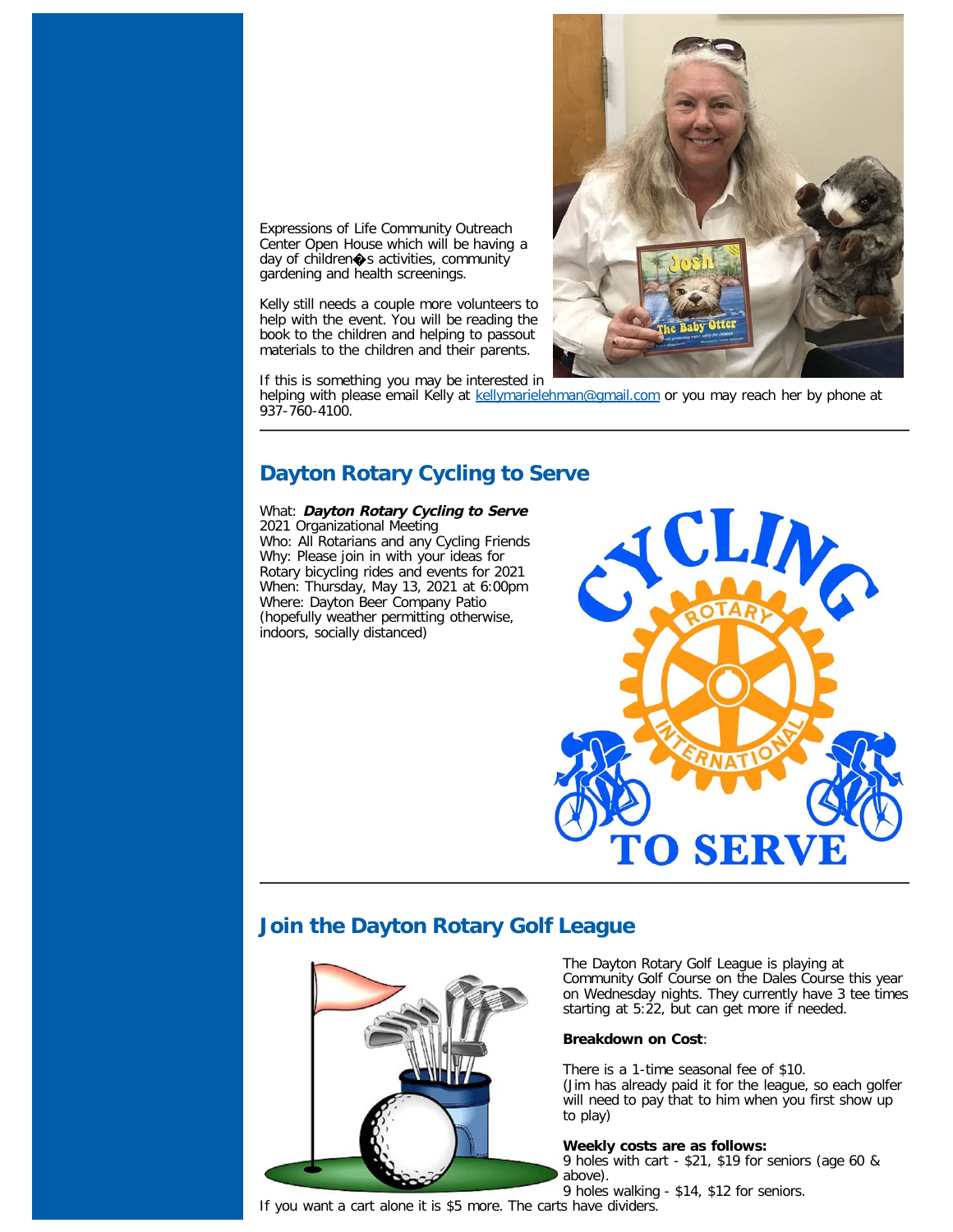Expressions of Life Community Outreach Center Open House which will be having a day of children�s activities, community gardening and health screenings.

Kelly still needs a couple more volunteers to help with the event. You will be reading the book to the children and helping to passout materials to the children and their parents.

If this is something you may be interested in



### **Dayton Rotary Cycling to Serve**

### What: **Dayton Rotary Cycling to Serve**

2021 Organizational Meeting Who: All Rotarians and any Cycling Friends Why: Please join in with your ideas for Rotary bicycling rides and events for 2021 When: Thursday, May 13, 2021 at 6:00pm Where: Dayton Beer Company Patio (hopefully weather permitting otherwise, indoors, socially distanced)



### **Join the Dayton Rotary Golf League**



The Dayton Rotary Golf League is playing at Community Golf Course on the Dales Course this year on Wednesday nights. They currently have 3 tee times starting at 5:22, but can get more if needed.

### **Breakdown on Cost**:

There is a 1-time seasonal fee of \$10. (Jim has already paid it for the league, so each golfer will need to pay that to him when you first show up to play)

### **Weekly costs are as follows:**

9 holes with cart - \$21, \$19 for seniors (age 60 & above).

9 holes walking - \$14, \$12 for seniors.

If you want a cart alone it is \$5 more. The carts have dividers.